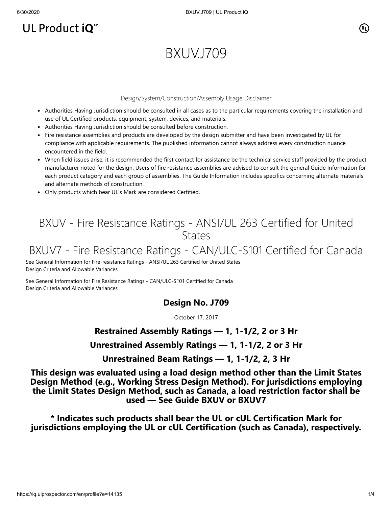## UL Product iQ<sup>™</sup>

# BXUV.J709

#### Design/System/Construction/Assembly Usage Disclaimer

- Authorities Having Jurisdiction should be consulted in all cases as to the particular requirements covering the installation and use of UL Certified products, equipment, system, devices, and materials.
- Authorities Having Jurisdiction should be consulted before construction.
- Fire resistance assemblies and products are developed by the design submitter and have been investigated by UL for compliance with applicable requirements. The published information cannot always address every construction nuance encountered in the field.
- When field issues arise, it is recommended the first contact for assistance be the technical service staff provided by the product manufacturer noted for the design. Users of fire resistance assemblies are advised to consult the general Guide Information for each product category and each group of assemblies. The Guide Information includes specifics concerning alternate materials and alternate methods of construction.
- Only products which bear UL's Mark are considered Certified.

## BXUV - Fire Resistance Ratings - ANSI/UL 263 Certified for United **States**

## BXUV7 - Fire Resistance Ratings - CAN/ULC-S101 Certified for Canada

[See General Information for Fire-resistance Ratings - ANSI/UL 263 Certified for United States](https://iq.ulprospector.com/cgi-bin/XYV/template/LISEXT/1FRAME/showpage.html?name=BXUV.GuideInfo&ccnshorttitle=Fire-resistance+Ratings+-+ANSI/UL+263&objid=1074327030&cfgid=1073741824&version=versionless&parent_id=1073984818&sequence=1) Design Criteria and Allowable Variances

[See General Information for Fire Resistance Ratings - CAN/ULC-S101 Certified for Canada](https://iq.ulprospector.com/cgi-bin/XYV/template/LISEXT/1FRAME/showpage.html?name=BXUV7.GuideInfo&ccnshorttitle=Fire+Resistance+Ratings+-+CAN/ULC-S101+Certified+for+Canada&objid=1074205658&cfgid=1073741824&version=versionless&parent_id=1073984820&sequence=1) Design Criteria and Allowable Variances

## **Design No. J709**

October 17, 2017

## **Restrained Assembly Ratings — 1, 1-1/2, 2 or 3 Hr**

#### **Unrestrained Assembly Ratings — 1, 1-1/2, 2 or 3 Hr**

**Unrestrained Beam Ratings — 1, 1-1/2, 2, 3 Hr**

**This design was evaluated using a load design method other than the Limit States Design Method (e.g., Working Stress Design Method). For jurisdictions employing the Limit States Design Method, such as Canada, a load restriction factor shall be used — See Guide [BXUV](http://database.ul.com/cgi-bin/XYV/template/LISEXT/1FRAME/showpage.html?name=BXUV.GuideInfo&ccnshorttitle=Fire-resistance+Ratings+-+ANSI/UL+263&objid=1074327030&cfgid=1073741824&version=versionless&parent_id=1073984818&sequence=1) or [BXUV7](http://database.ul.com/cgi-bin/XYV/template/LISEXT/1FRAME/showpage.html?name=BXUV7.GuideInfo&ccnshorttitle=Fire+Resistance+Ratings+-+CAN/ULC-S101M+Certified+for+Canada&objid=1074205658&cfgid=1073741824&version=versionless&parent_id=1073984820&sequence=1)**

**\* Indicates such products shall bear the UL or cUL Certification Mark for jurisdictions employing the UL or cUL Certification (such as Canada), respectively.**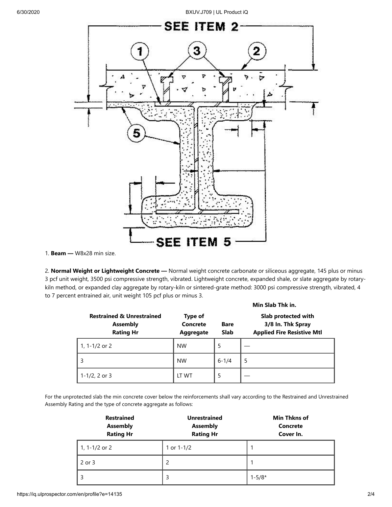6/30/2020 BXUV.J709 | UL Product iQ



1. **Beam —** W8x28 min size.

2. **Normal Weight or Lightweight Concrete —** Normal weight concrete carbonate or siliceous aggregate, 145 plus or minus 3 pcf unit weight, 3500 psi compressive strength, vibrated. Lightweight concrete, expanded shale, or slate aggregate by rotarykiln method, or expanded clay aggregate by rotary-kiln or sintered-grate method: 3000 psi compressive strength, vibrated, 4 to 7 percent entrained air, unit weight 105 pcf plus or minus 3.

|                                                                             |                                  | Min Slab Thk in.           |                                                                               |  |
|-----------------------------------------------------------------------------|----------------------------------|----------------------------|-------------------------------------------------------------------------------|--|
| <b>Restrained &amp; Unrestrained</b><br><b>Assembly</b><br><b>Rating Hr</b> | Type of<br>Concrete<br>Aggregate | <b>Bare</b><br><b>Slab</b> | Slab protected with<br>3/8 In. Thk Spray<br><b>Applied Fire Resistive Mtl</b> |  |
| 1, 1-1/2 or 2                                                               | <b>NW</b>                        | 5                          |                                                                               |  |
| 3                                                                           | <b>NW</b>                        | $6 - 1/4$                  | 5                                                                             |  |
| $1 - 1/2$ , 2 or 3                                                          | LT WT                            | 5                          |                                                                               |  |

For the unprotected slab the min concrete cover below the reinforcements shall vary according to the Restrained and Unrestrained Assembly Rating and the type of concrete aggregate as follows:

| <b>Restrained</b><br><b>Assembly</b><br><b>Rating Hr</b> | <b>Unrestrained</b><br><b>Assembly</b><br><b>Rating Hr</b> | <b>Min Thkns of</b><br><b>Concrete</b><br>Cover In. |  |
|----------------------------------------------------------|------------------------------------------------------------|-----------------------------------------------------|--|
| 1, 1-1/2 or 2                                            | 1 or $1 - 1/2$                                             |                                                     |  |
| 2 or 3                                                   | 2                                                          |                                                     |  |
|                                                          | 3                                                          | $1 - 5/8*$                                          |  |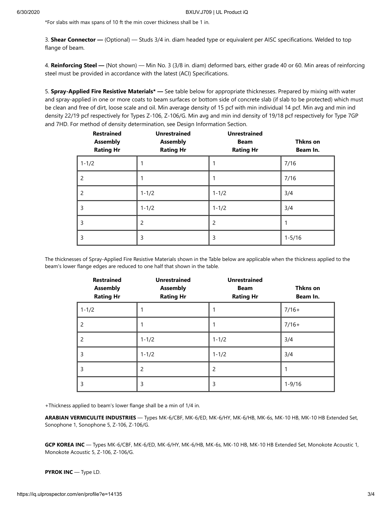\*For slabs with max spans of 10 ft the min cover thickness shall be 1 in.

3. **Shear Connector —** (Optional) — Studs 3/4 in. diam headed type or equivalent per AISC specifications. Welded to top flange of beam.

4. **Reinforcing Steel —** (Not shown) — Min No. 3 (3/8 in. diam) deformed bars, either grade 40 or 60. Min areas of reinforcing steel must be provided in accordance with the latest (ACI) Specifications.

5. **Spray-Applied Fire Resistive Materials\* —** See table below for appropriate thicknesses. Prepared by mixing with water and spray-applied in one or more coats to beam surfaces or bottom side of concrete slab (if slab to be protected) which must be clean and free of dirt, loose scale and oil. Min average density of 15 pcf with min individual 14 pcf. Min avg and min ind density 22/19 pcf respectively for Types Z-106, Z-106/G. Min avg and min ind density of 19/18 pcf respectively for Type 7GP and 7HD. For method of density determination, see Design Information Section.

| <b>Restrained</b><br><b>Assembly</b><br><b>Rating Hr</b> | <b>Unrestrained</b><br><b>Assembly</b><br><b>Rating Hr</b> | <b>Unrestrained</b><br><b>Beam</b><br><b>Rating Hr</b> | Thkns on<br>Beam In. |
|----------------------------------------------------------|------------------------------------------------------------|--------------------------------------------------------|----------------------|
| $1 - 1/2$                                                |                                                            |                                                        | 7/16                 |
| 2                                                        |                                                            |                                                        | 7/16                 |
| 2                                                        | $1 - 1/2$                                                  | $1 - 1/2$                                              | 3/4                  |
| 3                                                        | $1 - 1/2$                                                  | $1 - 1/2$                                              | 3/4                  |
| 3                                                        | $\overline{2}$                                             | 2                                                      | 1                    |
| 3                                                        | 3                                                          | 3                                                      | $1 - 5/16$           |

The thicknesses of Spray-Applied Fire Resistive Materials shown in the Table below are applicable when the thickness applied to the beam's lower flange edges are reduced to one half that shown in the table.

| <b>Restrained</b><br><b>Assembly</b><br><b>Rating Hr</b> | <b>Unrestrained</b><br><b>Assembly</b><br><b>Rating Hr</b> | <b>Unrestrained</b><br><b>Beam</b><br><b>Rating Hr</b> | Thkns on<br>Beam In. |
|----------------------------------------------------------|------------------------------------------------------------|--------------------------------------------------------|----------------------|
| $1 - 1/2$                                                |                                                            |                                                        | $7/16+$              |
| $\overline{2}$                                           |                                                            |                                                        | $7/16+$              |
| $\overline{2}$                                           | $1 - 1/2$                                                  | $1 - 1/2$                                              | 3/4                  |
| 3                                                        | $1 - 1/2$                                                  | $1 - 1/2$                                              | 3/4                  |
| 3                                                        | $\overline{2}$                                             | $\overline{2}$                                         | 1                    |
| 3                                                        | 3                                                          | 3                                                      | $1 - 9/16$           |

+Thickness applied to beam's lower flange shall be a min of 1/4 in.

**ARABIAN VERMICULITE INDUSTRIES** — Types MK-6/CBF, MK-6/ED, MK-6/HY, MK-6/HB, MK-6s, MK-10 HB, MK-10 HB Extended Set, Sonophone 1, Sonophone 5, Z-106, Z-106/G.

**GCP KOREA INC** — Types MK-6/CBF, MK-6/ED, MK-6/HY, MK-6/HB, MK-6s, MK-10 HB, MK-10 HB Extended Set, Monokote Acoustic 1, Monokote Acoustic 5, Z-106, Z-106/G.

**PYROK INC** — Type LD.